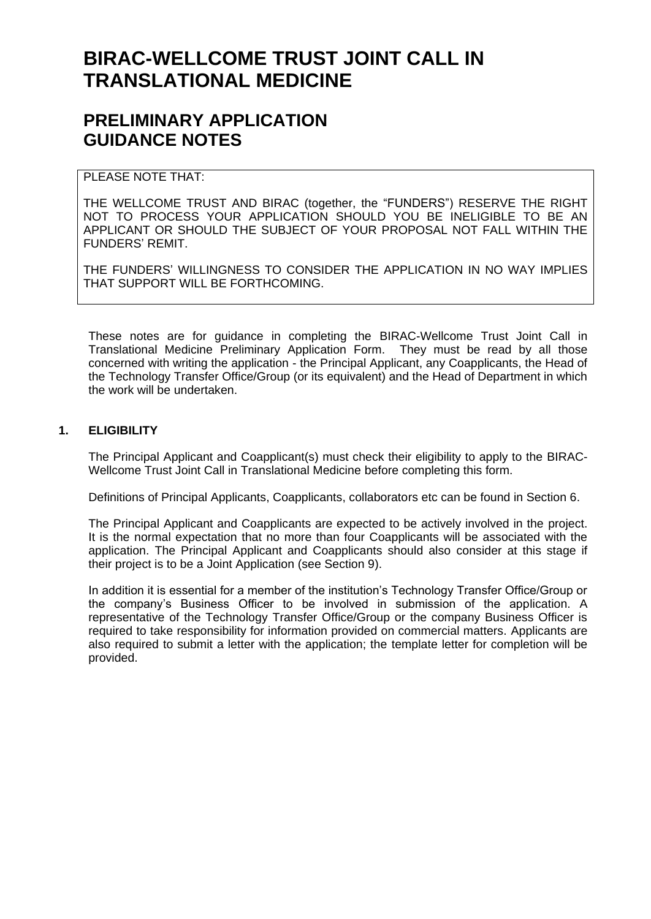# **BIRAC-WELLCOME TRUST JOINT CALL IN TRANSLATIONAL MEDICINE**

# **PRELIMINARY APPLICATION GUIDANCE NOTES**

# PI FASE NOTE THAT:

THE WELLCOME TRUST AND BIRAC (together, the "FUNDERS") RESERVE THE RIGHT NOT TO PROCESS YOUR APPLICATION SHOULD YOU BE INELIGIBLE TO BE AN APPLICANT OR SHOULD THE SUBJECT OF YOUR PROPOSAL NOT FALL WITHIN THE FUNDERS' REMIT.

THE FUNDERS' WILLINGNESS TO CONSIDER THE APPLICATION IN NO WAY IMPLIES THAT SUPPORT WILL BE FORTHCOMING.

These notes are for guidance in completing the BIRAC-Wellcome Trust Joint Call in Translational Medicine Preliminary Application Form. They must be read by all those concerned with writing the application - the Principal Applicant, any Coapplicants, the Head of the Technology Transfer Office/Group (or its equivalent) and the Head of Department in which the work will be undertaken.

# **1. ELIGIBILITY**

The Principal Applicant and Coapplicant(s) must check their eligibility to apply to the BIRAC-Wellcome Trust Joint Call in Translational Medicine before completing this form.

Definitions of Principal Applicants, Coapplicants, collaborators etc can be found in Section 6.

The Principal Applicant and Coapplicants are expected to be actively involved in the project. It is the normal expectation that no more than four Coapplicants will be associated with the application. The Principal Applicant and Coapplicants should also consider at this stage if their project is to be a Joint Application (see Section 9).

In addition it is essential for a member of the institution's Technology Transfer Office/Group or the company's Business Officer to be involved in submission of the application. A representative of the Technology Transfer Office/Group or the company Business Officer is required to take responsibility for information provided on commercial matters. Applicants are also required to submit a letter with the application; the template letter for completion will be provided.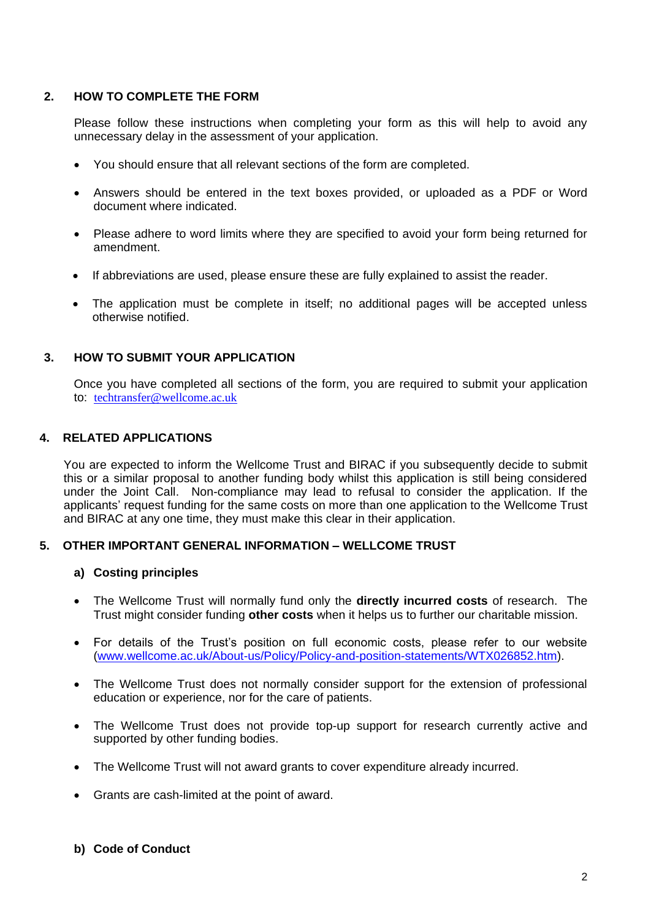## **2. HOW TO COMPLETE THE FORM**

Please follow these instructions when completing your form as this will help to avoid any unnecessary delay in the assessment of your application.

- You should ensure that all relevant sections of the form are completed.
- Answers should be entered in the text boxes provided, or uploaded as a PDF or Word document where indicated.
- Please adhere to word limits where they are specified to avoid your form being returned for amendment.
- If abbreviations are used, please ensure these are fully explained to assist the reader.
- The application must be complete in itself; no additional pages will be accepted unless otherwise notified.

## **3. HOW TO SUBMIT YOUR APPLICATION**

Once you have completed all sections of the form, you are required to submit your application to: [techtransfer@wellcome.ac.uk](mailto:techtransfer@wellcome.ac.uk)

#### **4. RELATED APPLICATIONS**

You are expected to inform the Wellcome Trust and BIRAC if you subsequently decide to submit this or a similar proposal to another funding body whilst this application is still being considered under the Joint Call. Non-compliance may lead to refusal to consider the application. If the applicants' request funding for the same costs on more than one application to the Wellcome Trust and BIRAC at any one time, they must make this clear in their application.

#### **5. OTHER IMPORTANT GENERAL INFORMATION – WELLCOME TRUST**

#### **a) Costing principles**

- The Wellcome Trust will normally fund only the **directly incurred costs** of research. The Trust might consider funding **other costs** when it helps us to further our charitable mission.
- For details of the Trust's position on full economic costs, please refer to our website [\(www.wellcome.ac.uk/About-us/Policy/Policy-and-position-statements/WTX026852.htm\)](http://www.wellcome.ac.uk/About-us/Policy/Policy-and-position-statements/WTX026852.htm).
- The Wellcome Trust does not normally consider support for the extension of professional education or experience, nor for the care of patients.
- The Wellcome Trust does not provide top-up support for research currently active and supported by other funding bodies.
- The Wellcome Trust will not award grants to cover expenditure already incurred.
- Grants are cash-limited at the point of award.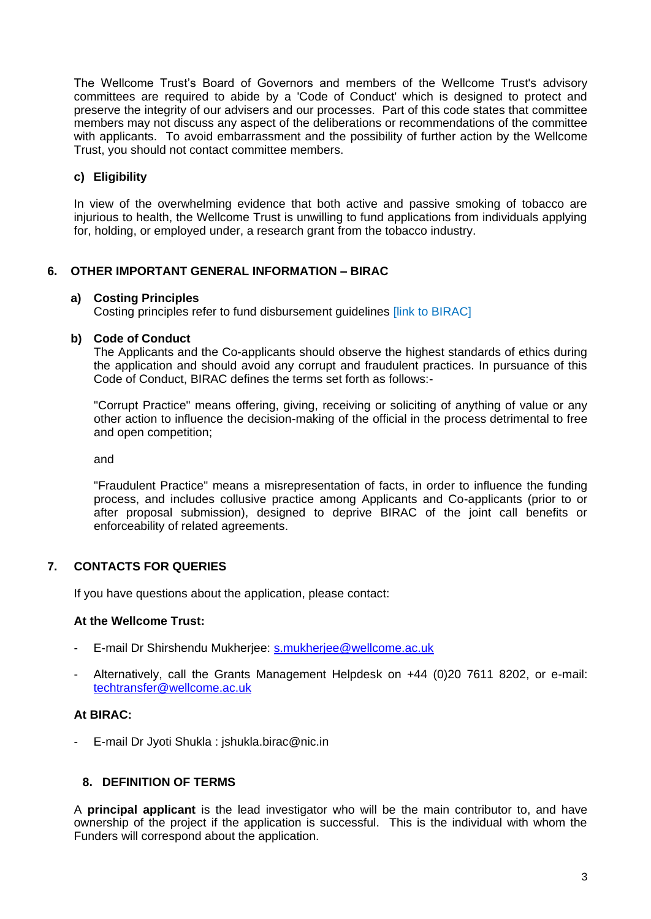The Wellcome Trust's Board of Governors and members of the Wellcome Trust's advisory committees are required to abide by a 'Code of Conduct' which is designed to protect and preserve the integrity of our advisers and our processes. Part of this code states that committee members may not discuss any aspect of the deliberations or recommendations of the committee with applicants. To avoid embarrassment and the possibility of further action by the Wellcome Trust, you should not contact committee members.

# **c) Eligibility**

In view of the overwhelming evidence that both active and passive smoking of tobacco are injurious to health, the Wellcome Trust is unwilling to fund applications from individuals applying for, holding, or employed under, a research grant from the tobacco industry.

## **6. OTHER IMPORTANT GENERAL INFORMATION – BIRAC**

#### **a) Costing Principles**

Costing principles refer to fund disbursement guidelines [link to BIRAC]

#### **b) Code of Conduct**

The Applicants and the Co-applicants should observe the highest standards of ethics during the application and should avoid any corrupt and fraudulent practices. In pursuance of this Code of Conduct, BIRAC defines the terms set forth as follows:-

"Corrupt Practice" means offering, giving, receiving or soliciting of anything of value or any other action to influence the decision-making of the official in the process detrimental to free and open competition;

and

"Fraudulent Practice" means a misrepresentation of facts, in order to influence the funding process, and includes collusive practice among Applicants and Co-applicants (prior to or after proposal submission), designed to deprive BIRAC of the joint call benefits or enforceability of related agreements.

## **7. CONTACTS FOR QUERIES**

If you have questions about the application, please contact:

## **At the Wellcome Trust:**

- E-mail Dr Shirshendu Mukherjee: [s.mukherjee@wellcome.ac.uk](mailto:s.mukherjee@wellcome.ac.uk)
- Alternatively, call the Grants Management Helpdesk on +44 (0)20 7611 8202, or e-mail: [techtransfer@wellcome.ac.uk](mailto:techtransfer@wellcome.ac.uk)

# **At BIRAC:**

- E-mail Dr Jyoti Shukla : jshukla.birac@nic.in

## **8. DEFINITION OF TERMS**

A **principal applicant** is the lead investigator who will be the main contributor to, and have ownership of the project if the application is successful. This is the individual with whom the Funders will correspond about the application.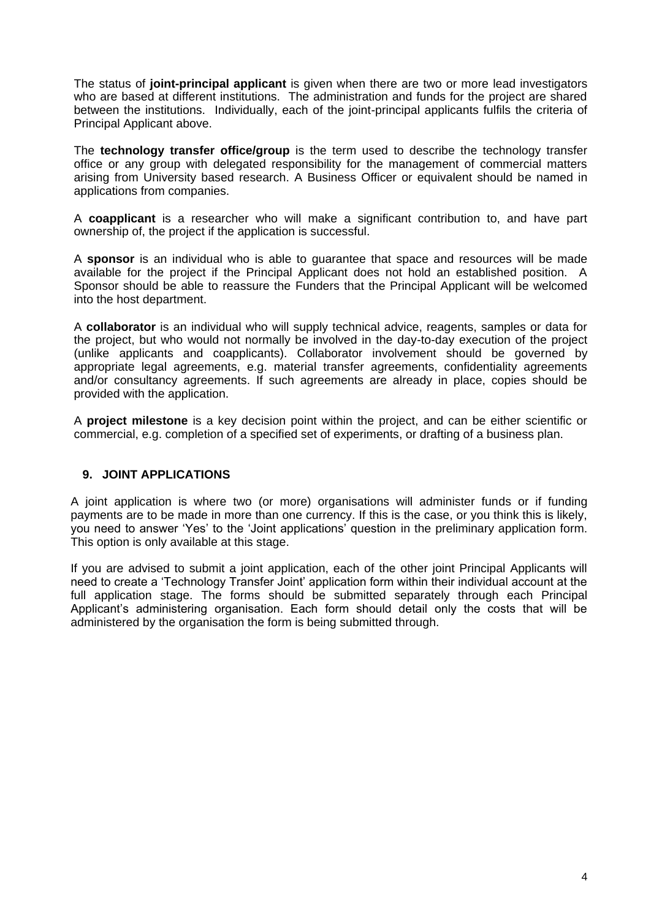The status of **joint-principal applicant** is given when there are two or more lead investigators who are based at different institutions. The administration and funds for the project are shared between the institutions. Individually, each of the joint-principal applicants fulfils the criteria of Principal Applicant above.

The **technology transfer office/group** is the term used to describe the technology transfer office or any group with delegated responsibility for the management of commercial matters arising from University based research. A Business Officer or equivalent should be named in applications from companies.

A **coapplicant** is a researcher who will make a significant contribution to, and have part ownership of, the project if the application is successful.

A **sponsor** is an individual who is able to guarantee that space and resources will be made available for the project if the Principal Applicant does not hold an established position. A Sponsor should be able to reassure the Funders that the Principal Applicant will be welcomed into the host department.

A **collaborator** is an individual who will supply technical advice, reagents, samples or data for the project, but who would not normally be involved in the day-to-day execution of the project (unlike applicants and coapplicants). Collaborator involvement should be governed by appropriate legal agreements, e.g. material transfer agreements, confidentiality agreements and/or consultancy agreements. If such agreements are already in place, copies should be provided with the application.

A **project milestone** is a key decision point within the project, and can be either scientific or commercial, e.g. completion of a specified set of experiments, or drafting of a business plan.

## **9. JOINT APPLICATIONS**

A joint application is where two (or more) organisations will administer funds or if funding payments are to be made in more than one currency. If this is the case, or you think this is likely, you need to answer 'Yes' to the 'Joint applications' question in the preliminary application form. This option is only available at this stage.

If you are advised to submit a joint application, each of the other joint Principal Applicants will need to create a 'Technology Transfer Joint' application form within their individual account at the full application stage. The forms should be submitted separately through each Principal Applicant's administering organisation. Each form should detail only the costs that will be administered by the organisation the form is being submitted through.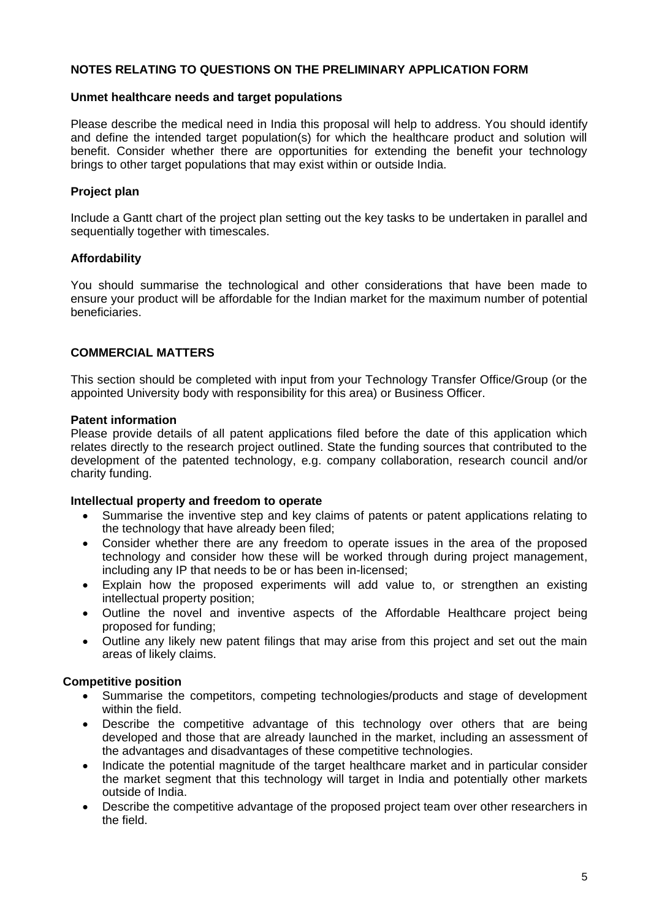# **NOTES RELATING TO QUESTIONS ON THE PRELIMINARY APPLICATION FORM**

#### **Unmet healthcare needs and target populations**

Please describe the medical need in India this proposal will help to address. You should identify and define the intended target population(s) for which the healthcare product and solution will benefit. Consider whether there are opportunities for extending the benefit your technology brings to other target populations that may exist within or outside India.

# **Project plan**

Include a Gantt chart of the project plan setting out the key tasks to be undertaken in parallel and sequentially together with timescales.

## **Affordability**

You should summarise the technological and other considerations that have been made to ensure your product will be affordable for the Indian market for the maximum number of potential beneficiaries.

#### **COMMERCIAL MATTERS**

This section should be completed with input from your Technology Transfer Office/Group (or the appointed University body with responsibility for this area) or Business Officer.

#### **Patent information**

Please provide details of all patent applications filed before the date of this application which relates directly to the research project outlined. State the funding sources that contributed to the development of the patented technology, e.g. company collaboration, research council and/or charity funding.

#### **Intellectual property and freedom to operate**

- Summarise the inventive step and key claims of patents or patent applications relating to the technology that have already been filed;
- Consider whether there are any freedom to operate issues in the area of the proposed technology and consider how these will be worked through during project management, including any IP that needs to be or has been in-licensed;
- Explain how the proposed experiments will add value to, or strengthen an existing intellectual property position;
- Outline the novel and inventive aspects of the Affordable Healthcare project being proposed for funding;
- Outline any likely new patent filings that may arise from this project and set out the main areas of likely claims.

## **Competitive position**

- Summarise the competitors, competing technologies/products and stage of development within the field.
- Describe the competitive advantage of this technology over others that are being developed and those that are already launched in the market, including an assessment of the advantages and disadvantages of these competitive technologies.
- Indicate the potential magnitude of the target healthcare market and in particular consider the market segment that this technology will target in India and potentially other markets outside of India.
- Describe the competitive advantage of the proposed project team over other researchers in the field.